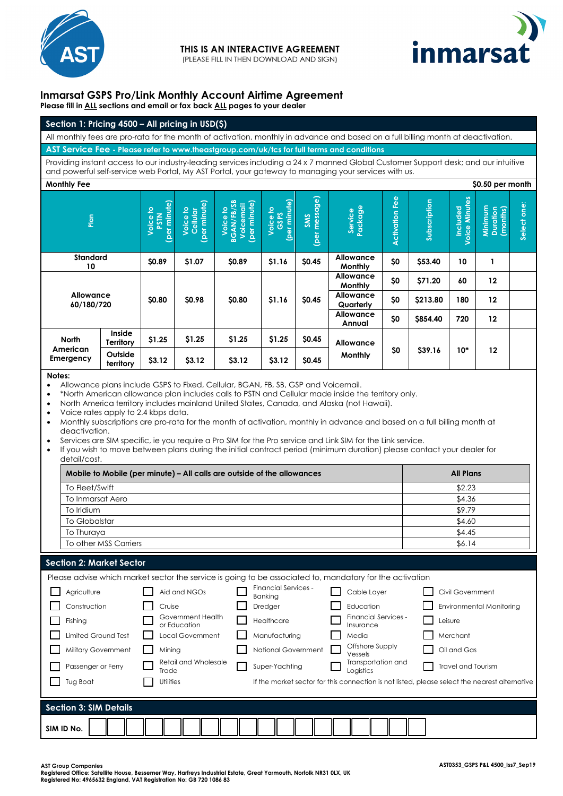



## **Inmarsat GSPS Pro/Link Monthly Account Airtime Agreement Please fill in ALL sections and email or fax back ALL pages to your dealer**

| Section 1: Pricing $4500 -$ All pricing in USD $($ \$)                                                                           |
|----------------------------------------------------------------------------------------------------------------------------------|
| All monthly fees are pro-rata for the month of activation, monthly in advance and based on a full billing month at deactivation. |
| $^\prime$ AST Service Fee - Please refer to www.theastgroup.com/uk/tcs for full terms and conditions $_\prime$                   |

Providing instant access to our industry-leading services including a 24 x 7 manned Global Customer Support desk; and our intuitive and powerful self-service web Portal, My AST Portal, your gateway to managing your services with us.

| <b>Monthly Fee</b>                    |                      |                                  |                                                  |                                                     |                                 |                         |                             |                   |              |                           | \$0.50 per month                |                |  |
|---------------------------------------|----------------------|----------------------------------|--------------------------------------------------|-----------------------------------------------------|---------------------------------|-------------------------|-----------------------------|-------------------|--------------|---------------------------|---------------------------------|----------------|--|
| Plan                                  |                      | (per minute)<br>Voice to<br>PSTN | minute)<br><u>ي</u><br>Cellular<br>Voice<br>(per | (per minute)<br>Voice to<br>BGAN/FB/SB<br>Voicemail | minute)<br>의<br>Voice t<br>(per | message)<br>SMS<br>(per | Service<br>Package          | Fee<br>Activation | Subscription | Included<br>Voice Minutes | Minimum<br>Duration<br>(months) | one:<br>Select |  |
| <b>Standard</b><br>10                 |                      | \$0.89                           | \$1.07                                           | \$0.89                                              | \$1.16                          | \$0.45                  | Allowance<br>Monthly        | \$0               | \$53.40      | 10                        | 1                               |                |  |
| <b>Allowance</b><br>60/180/720        |                      | \$0.80<br>\$0.98                 |                                                  | \$0.80                                              | \$1.16                          | \$0.45                  | <b>Allowance</b><br>Monthly | \$0               | \$71.20      | 60                        | 12                              |                |  |
|                                       |                      |                                  |                                                  |                                                     |                                 |                         | Allowance<br>Quarterly      | \$0               | \$213.80     | 180                       | 12                              |                |  |
|                                       |                      |                                  |                                                  |                                                     |                                 |                         | <b>Allowance</b><br>Annual  | \$0               | \$854.40     | 720                       | 12                              |                |  |
| <b>North</b><br>American<br>Emergency | Inside<br>Territory  | \$1.25                           | \$1.25                                           | \$1.25                                              | \$1.25                          | \$0.45                  | Allowance                   |                   |              | \$39.16                   | $10*$                           |                |  |
|                                       | Outside<br>territory | \$3.12                           | \$3.12                                           | \$3.12                                              | \$3.12                          | \$0.45                  | Monthly                     | \$0               | 12           |                           |                                 |                |  |

**Notes:**

• Allowance plans include GSPS to Fixed, Cellular, BGAN, FB, SB, GSP and Voicemail.

• \*North American allowance plan includes calls to PSTN and Cellular made inside the territory only.

• North America territory includes mainland United States, Canada, and Alaska (not Hawaii).

• Voice rates apply to 2.4 kbps data.

• Monthly subscriptions are pro-rata for the month of activation, monthly in advance and based on a full billing month at deactivation.

• Services are SIM specific, ie you require a Pro SIM for the Pro service and Link SIM for the Link service.

• If you wish to move between plans during the initial contract period (minimum duration) please contact your dealer for detail/cost.

| Mobile to Mobile (per minute) – All calls are outside of the allowances | <b>All Plans</b> |
|-------------------------------------------------------------------------|------------------|
| To Fleet/Swift                                                          | \$2.23           |
| To Inmarsat Aero                                                        | \$4.36           |
| To Iridium                                                              | \$9.79           |
| To Globalstar                                                           | \$4.60           |
| To Thuraya                                                              | \$4.45           |
| To other MSS Carriers                                                   | \$6.14           |

## **Section 2: Market Sector**

|                               | Please advise which market sector the service is going to be associated to, mandatory for the activation |                                        |                                   |                                                                                               |
|-------------------------------|----------------------------------------------------------------------------------------------------------|----------------------------------------|-----------------------------------|-----------------------------------------------------------------------------------------------|
| Agriculture                   | Aid and NGOs                                                                                             | Financial Services -<br><b>Bankina</b> | Cable Layer                       | Civil Government                                                                              |
| Construction                  | Cruise                                                                                                   | Dredger                                | Education                         | Environmental Monitoring                                                                      |
| Fishing                       | Government Health<br>or Education                                                                        | Healthcare                             | Financial Services -<br>Insurance | Leisure                                                                                       |
| <b>Limited Ground Test</b>    | <b>Local Government</b>                                                                                  | Manufacturing                          | Media                             | Merchant                                                                                      |
| Military Government           | Mining                                                                                                   | National Government                    | Offshore Supply<br>Vessels        | Oil and Gas                                                                                   |
| Passenger or Ferry            | Retail and Wholesale<br>Trade                                                                            | Super-Yachting                         | Transportation and<br>Logistics   | Travel and Tourism                                                                            |
| Tug Boat                      | Utilities                                                                                                |                                        |                                   | If the market sector for this connection is not listed, please select the nearest alternative |
|                               |                                                                                                          |                                        |                                   |                                                                                               |
| <b>Section 3: SIM Details</b> |                                                                                                          |                                        |                                   |                                                                                               |
| SIM ID No.                    |                                                                                                          |                                        |                                   |                                                                                               |

**AST Group Companies** 

**Registered Office: Satellite House, Bessemer Way, Harfreys Industrial Estate, Great Yarmouth, Norfolk NR31 0LX, UK Registered No: 4965632 England, VAT Registration No: GB 720 1086 83**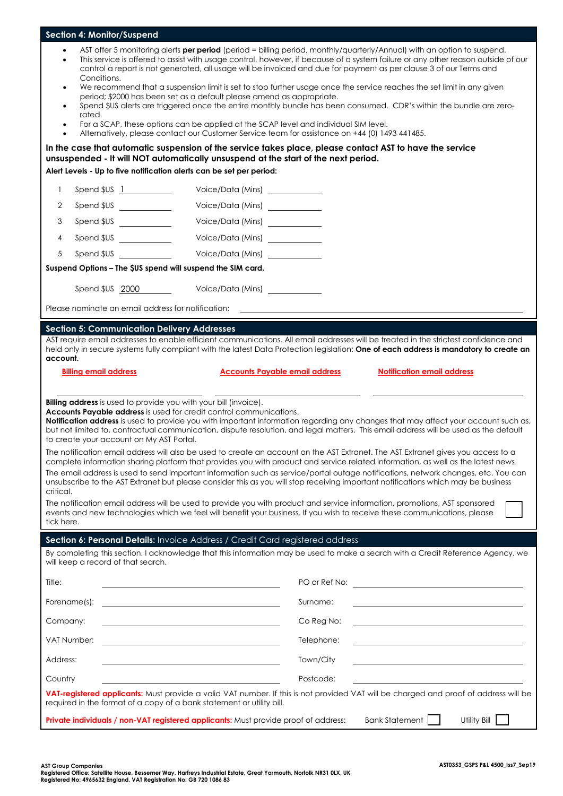| <b>Section 4: Monitor/Suspend</b>                                                                                                                                                                                                                                                                                                                                                                                                                                                                                                                                                                                                                                                                                                                                                                                                                                                                   |                                                                                                                                                                                                |                                       |  |  |  |  |
|-----------------------------------------------------------------------------------------------------------------------------------------------------------------------------------------------------------------------------------------------------------------------------------------------------------------------------------------------------------------------------------------------------------------------------------------------------------------------------------------------------------------------------------------------------------------------------------------------------------------------------------------------------------------------------------------------------------------------------------------------------------------------------------------------------------------------------------------------------------------------------------------------------|------------------------------------------------------------------------------------------------------------------------------------------------------------------------------------------------|---------------------------------------|--|--|--|--|
| AST offer 5 monitoring alerts <b>per period</b> (period = billing period, monthly/quarterly/Annual) with an option to suspend.<br>$\bullet$<br>This service is offered to assist with usage control, however, if because of a system failure or any other reason outside of our<br>$\bullet$<br>control a report is not generated, all usage will be invoiced and due for payment as per clause 3 of our Terms and<br>Conditions.<br>We recommend that a suspension limit is set to stop further usage once the service reaches the set limit in any given<br>$\bullet$<br>period; \$2000 has been set as a default please amend as appropriate.<br>Spend \$US alerts are triggered once the entire monthly bundle has been consumed. CDR's within the bundle are zero-<br>$\bullet$<br>rated.<br>For a SCAP, these options can be applied at the SCAP level and individual SIM level.<br>$\bullet$ |                                                                                                                                                                                                |                                       |  |  |  |  |
| $\bullet$                                                                                                                                                                                                                                                                                                                                                                                                                                                                                                                                                                                                                                                                                                                                                                                                                                                                                           | Alternatively, please contact our Customer Service team for assistance on +44 (0) 1493 441485.                                                                                                 |                                       |  |  |  |  |
|                                                                                                                                                                                                                                                                                                                                                                                                                                                                                                                                                                                                                                                                                                                                                                                                                                                                                                     | In the case that automatic suspension of the service takes place, please contact AST to have the service<br>unsuspended - It will NOT automatically unsuspend at the start of the next period. |                                       |  |  |  |  |
| Alert Levels - Up to five notification alerts can be set per period:                                                                                                                                                                                                                                                                                                                                                                                                                                                                                                                                                                                                                                                                                                                                                                                                                                |                                                                                                                                                                                                |                                       |  |  |  |  |
| 1                                                                                                                                                                                                                                                                                                                                                                                                                                                                                                                                                                                                                                                                                                                                                                                                                                                                                                   | Voice/Data (Mins) ___________                                                                                                                                                                  |                                       |  |  |  |  |
| Spend \$US <u>________________</u><br>2                                                                                                                                                                                                                                                                                                                                                                                                                                                                                                                                                                                                                                                                                                                                                                                                                                                             | Voice/Data (Mins) ___________                                                                                                                                                                  |                                       |  |  |  |  |
| 3                                                                                                                                                                                                                                                                                                                                                                                                                                                                                                                                                                                                                                                                                                                                                                                                                                                                                                   | Voice/Data (Mins) ___________                                                                                                                                                                  |                                       |  |  |  |  |
| Spend \$US <u>_________</u><br>4                                                                                                                                                                                                                                                                                                                                                                                                                                                                                                                                                                                                                                                                                                                                                                                                                                                                    | Voice/Data (Mins) ___________                                                                                                                                                                  |                                       |  |  |  |  |
| 5<br>Spend \$US and the state of the state of the state of the state of the state of the state of the state of the state of the state of the state of the state of the state of the state of the state of the state of the state of                                                                                                                                                                                                                                                                                                                                                                                                                                                                                                                                                                                                                                                                 | Voice/Data (Mins) ____________                                                                                                                                                                 |                                       |  |  |  |  |
| Suspend Options - The \$US spend will suspend the SIM card.                                                                                                                                                                                                                                                                                                                                                                                                                                                                                                                                                                                                                                                                                                                                                                                                                                         |                                                                                                                                                                                                |                                       |  |  |  |  |
| Spend \$US 2000                                                                                                                                                                                                                                                                                                                                                                                                                                                                                                                                                                                                                                                                                                                                                                                                                                                                                     | Voice/Data (Mins)                                                                                                                                                                              |                                       |  |  |  |  |
| Please nominate an email address for notification:                                                                                                                                                                                                                                                                                                                                                                                                                                                                                                                                                                                                                                                                                                                                                                                                                                                  |                                                                                                                                                                                                |                                       |  |  |  |  |
|                                                                                                                                                                                                                                                                                                                                                                                                                                                                                                                                                                                                                                                                                                                                                                                                                                                                                                     |                                                                                                                                                                                                |                                       |  |  |  |  |
| <b>Section 5: Communication Delivery Addresses</b>                                                                                                                                                                                                                                                                                                                                                                                                                                                                                                                                                                                                                                                                                                                                                                                                                                                  | AST require email addresses to enable efficient communications. All email addresses will be treated in the strictest confidence and                                                            |                                       |  |  |  |  |
|                                                                                                                                                                                                                                                                                                                                                                                                                                                                                                                                                                                                                                                                                                                                                                                                                                                                                                     | held only in secure systems fully compliant with the latest Data Protection legislation: One of each address is mandatory to create an                                                         |                                       |  |  |  |  |
| account.                                                                                                                                                                                                                                                                                                                                                                                                                                                                                                                                                                                                                                                                                                                                                                                                                                                                                            |                                                                                                                                                                                                |                                       |  |  |  |  |
| <b>Billing email address</b>                                                                                                                                                                                                                                                                                                                                                                                                                                                                                                                                                                                                                                                                                                                                                                                                                                                                        | <b>Accounts Payable email address</b>                                                                                                                                                          | <b>Notification email address</b>     |  |  |  |  |
| Billing address is used to provide you with your bill (invoice).<br><b>Accounts Payable address</b> is used for credit control communications.<br>Notification address is used to provide you with important information regarding any changes that may affect your account such as,<br>but not limited to, contractual communication, dispute resolution, and legal matters. This email address will be used as the default<br>to create your account on My AST Portal.<br>The notification email address will also be used to create an account on the AST Extranet. The AST Extranet gives you access to a<br>complete information sharing platform that provides you with product and service related information, as well as the latest news.                                                                                                                                                  |                                                                                                                                                                                                |                                       |  |  |  |  |
| The email address is used to send important information such as service/portal outage notifications, network changes, etc. You can<br>unsubscribe to the AST Extranet but please consider this as you will stop receiving important notifications which may be business<br>critical.<br>The notification email address will be used to provide you with product and service information, promotions, AST sponsored<br>events and new technologies which we feel will benefit your business. If you wish to receive these communications, please<br>tick here.                                                                                                                                                                                                                                                                                                                                       |                                                                                                                                                                                                |                                       |  |  |  |  |
|                                                                                                                                                                                                                                                                                                                                                                                                                                                                                                                                                                                                                                                                                                                                                                                                                                                                                                     | Section 6: Personal Details: Invoice Address / Credit Card registered address                                                                                                                  |                                       |  |  |  |  |
| will keep a record of that search.                                                                                                                                                                                                                                                                                                                                                                                                                                                                                                                                                                                                                                                                                                                                                                                                                                                                  | By completing this section, I acknowledge that this information may be used to make a search with a Credit Reference Agency, we                                                                |                                       |  |  |  |  |
| Title:                                                                                                                                                                                                                                                                                                                                                                                                                                                                                                                                                                                                                                                                                                                                                                                                                                                                                              |                                                                                                                                                                                                |                                       |  |  |  |  |
| Forename(s):                                                                                                                                                                                                                                                                                                                                                                                                                                                                                                                                                                                                                                                                                                                                                                                                                                                                                        | Surname:<br><u> 1989 - Johann Barbara, martin amerikan basar dan berasal dan berasal dalam basar dalam basar dalam basar dala</u>                                                              |                                       |  |  |  |  |
| Company:                                                                                                                                                                                                                                                                                                                                                                                                                                                                                                                                                                                                                                                                                                                                                                                                                                                                                            | Co Reg No:                                                                                                                                                                                     |                                       |  |  |  |  |
| VAT Number:                                                                                                                                                                                                                                                                                                                                                                                                                                                                                                                                                                                                                                                                                                                                                                                                                                                                                         | Telephone:                                                                                                                                                                                     |                                       |  |  |  |  |
| Address:                                                                                                                                                                                                                                                                                                                                                                                                                                                                                                                                                                                                                                                                                                                                                                                                                                                                                            | Town/City                                                                                                                                                                                      |                                       |  |  |  |  |
| Country                                                                                                                                                                                                                                                                                                                                                                                                                                                                                                                                                                                                                                                                                                                                                                                                                                                                                             | Postcode:                                                                                                                                                                                      |                                       |  |  |  |  |
|                                                                                                                                                                                                                                                                                                                                                                                                                                                                                                                                                                                                                                                                                                                                                                                                                                                                                                     |                                                                                                                                                                                                |                                       |  |  |  |  |
| required in the format of a copy of a bank statement or utility bill.                                                                                                                                                                                                                                                                                                                                                                                                                                                                                                                                                                                                                                                                                                                                                                                                                               | VAT-registered applicants: Must provide a valid VAT number. If this is not provided VAT will be charged and proof of address will be                                                           |                                       |  |  |  |  |
|                                                                                                                                                                                                                                                                                                                                                                                                                                                                                                                                                                                                                                                                                                                                                                                                                                                                                                     | <b>Private individuals / non-VAT registered applicants:</b> Must provide proof of address:                                                                                                     | <b>Bank Statement</b><br>Utility Bill |  |  |  |  |